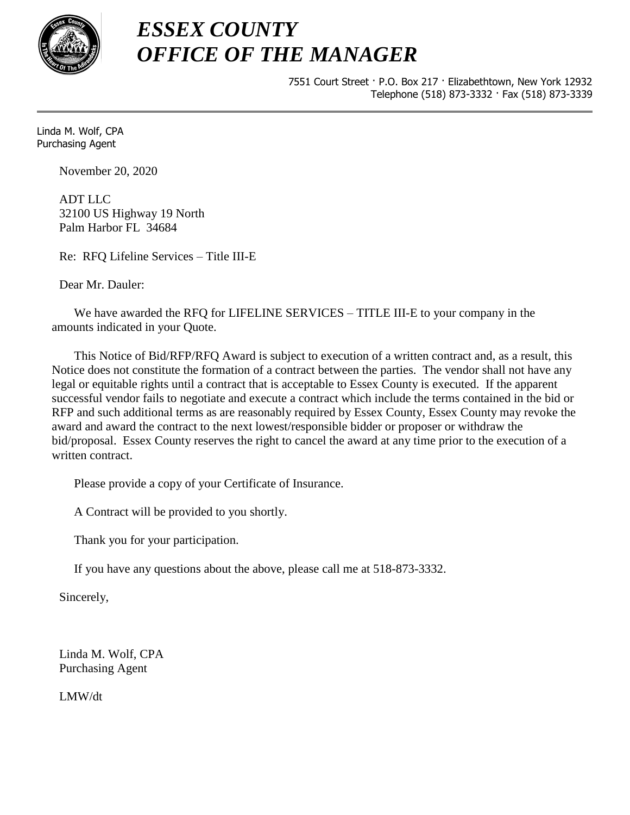

7551 Court Street · P.O. Box 217 · Elizabethtown, New York 12932 Telephone (518) 873-3332 · Fax (518) 873-3339

Linda M. Wolf, CPA Purchasing Agent

November 20, 2020

ADT LLC 32100 US Highway 19 North Palm Harbor FL 34684

Re: RFQ Lifeline Services – Title III-E

Dear Mr. Dauler:

We have awarded the RFQ for LIFELINE SERVICES – TITLE III-E to your company in the amounts indicated in your Quote.

This Notice of Bid/RFP/RFQ Award is subject to execution of a written contract and, as a result, this Notice does not constitute the formation of a contract between the parties. The vendor shall not have any legal or equitable rights until a contract that is acceptable to Essex County is executed. If the apparent successful vendor fails to negotiate and execute a contract which include the terms contained in the bid or RFP and such additional terms as are reasonably required by Essex County, Essex County may revoke the award and award the contract to the next lowest/responsible bidder or proposer or withdraw the bid/proposal. Essex County reserves the right to cancel the award at any time prior to the execution of a written contract.

Please provide a copy of your Certificate of Insurance.

A Contract will be provided to you shortly.

Thank you for your participation.

If you have any questions about the above, please call me at 518-873-3332.

Sincerely,

Linda M. Wolf, CPA Purchasing Agent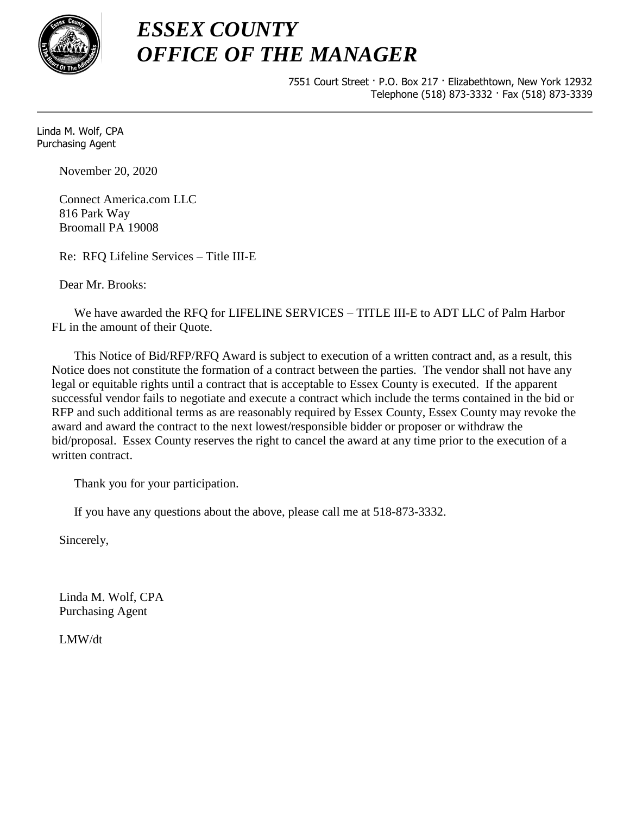

7551 Court Street · P.O. Box 217 · Elizabethtown, New York 12932 Telephone (518) 873-3332 · Fax (518) 873-3339

Linda M. Wolf, CPA Purchasing Agent

November 20, 2020

Connect America.com LLC 816 Park Way Broomall PA 19008

Re: RFQ Lifeline Services – Title III-E

Dear Mr. Brooks:

We have awarded the RFQ for LIFELINE SERVICES – TITLE III-E to ADT LLC of Palm Harbor FL in the amount of their Quote.

This Notice of Bid/RFP/RFQ Award is subject to execution of a written contract and, as a result, this Notice does not constitute the formation of a contract between the parties. The vendor shall not have any legal or equitable rights until a contract that is acceptable to Essex County is executed. If the apparent successful vendor fails to negotiate and execute a contract which include the terms contained in the bid or RFP and such additional terms as are reasonably required by Essex County, Essex County may revoke the award and award the contract to the next lowest/responsible bidder or proposer or withdraw the bid/proposal. Essex County reserves the right to cancel the award at any time prior to the execution of a written contract.

Thank you for your participation.

If you have any questions about the above, please call me at 518-873-3332.

Sincerely,

Linda M. Wolf, CPA Purchasing Agent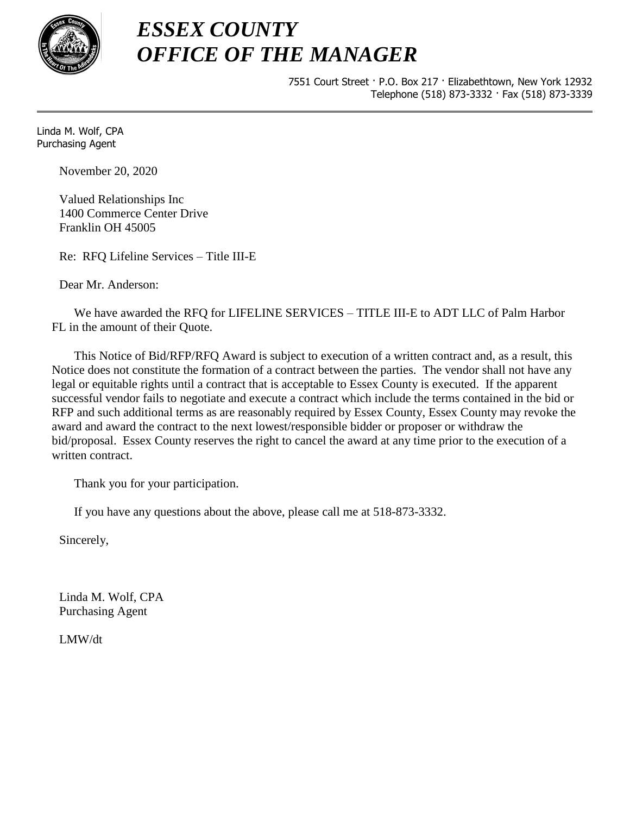

7551 Court Street · P.O. Box 217 · Elizabethtown, New York 12932 Telephone (518) 873-3332 · Fax (518) 873-3339

Linda M. Wolf, CPA Purchasing Agent

November 20, 2020

Valued Relationships Inc 1400 Commerce Center Drive Franklin OH 45005

Re: RFQ Lifeline Services – Title III-E

Dear Mr. Anderson:

We have awarded the RFQ for LIFELINE SERVICES – TITLE III-E to ADT LLC of Palm Harbor FL in the amount of their Quote.

This Notice of Bid/RFP/RFQ Award is subject to execution of a written contract and, as a result, this Notice does not constitute the formation of a contract between the parties. The vendor shall not have any legal or equitable rights until a contract that is acceptable to Essex County is executed. If the apparent successful vendor fails to negotiate and execute a contract which include the terms contained in the bid or RFP and such additional terms as are reasonably required by Essex County, Essex County may revoke the award and award the contract to the next lowest/responsible bidder or proposer or withdraw the bid/proposal. Essex County reserves the right to cancel the award at any time prior to the execution of a written contract.

Thank you for your participation.

If you have any questions about the above, please call me at 518-873-3332.

Sincerely,

Linda M. Wolf, CPA Purchasing Agent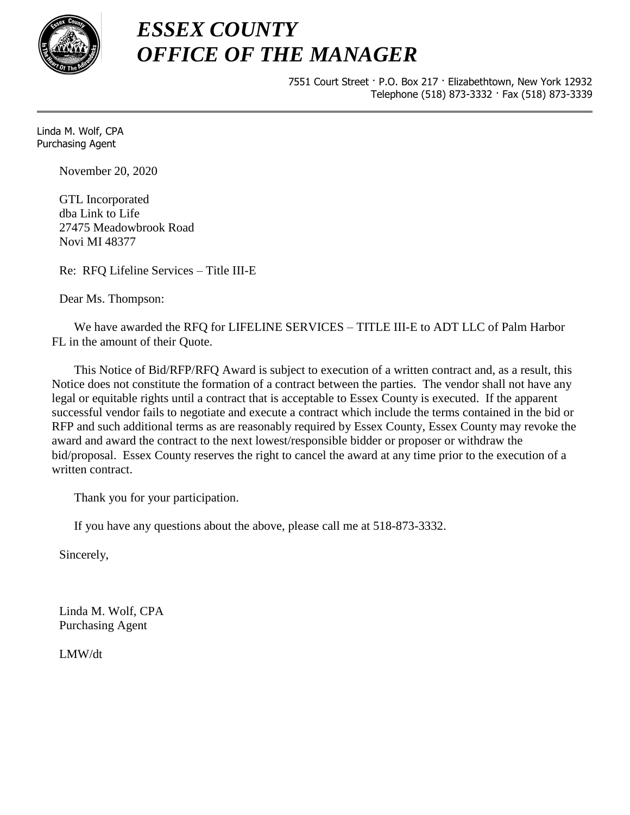

7551 Court Street · P.O. Box 217 · Elizabethtown, New York 12932 Telephone (518) 873-3332 · Fax (518) 873-3339

Linda M. Wolf, CPA Purchasing Agent

November 20, 2020

GTL Incorporated dba Link to Life 27475 Meadowbrook Road Novi MI 48377

Re: RFQ Lifeline Services – Title III-E

Dear Ms. Thompson:

We have awarded the RFQ for LIFELINE SERVICES – TITLE III-E to ADT LLC of Palm Harbor FL in the amount of their Quote.

This Notice of Bid/RFP/RFQ Award is subject to execution of a written contract and, as a result, this Notice does not constitute the formation of a contract between the parties. The vendor shall not have any legal or equitable rights until a contract that is acceptable to Essex County is executed. If the apparent successful vendor fails to negotiate and execute a contract which include the terms contained in the bid or RFP and such additional terms as are reasonably required by Essex County, Essex County may revoke the award and award the contract to the next lowest/responsible bidder or proposer or withdraw the bid/proposal. Essex County reserves the right to cancel the award at any time prior to the execution of a written contract.

Thank you for your participation.

If you have any questions about the above, please call me at 518-873-3332.

Sincerely,

Linda M. Wolf, CPA Purchasing Agent